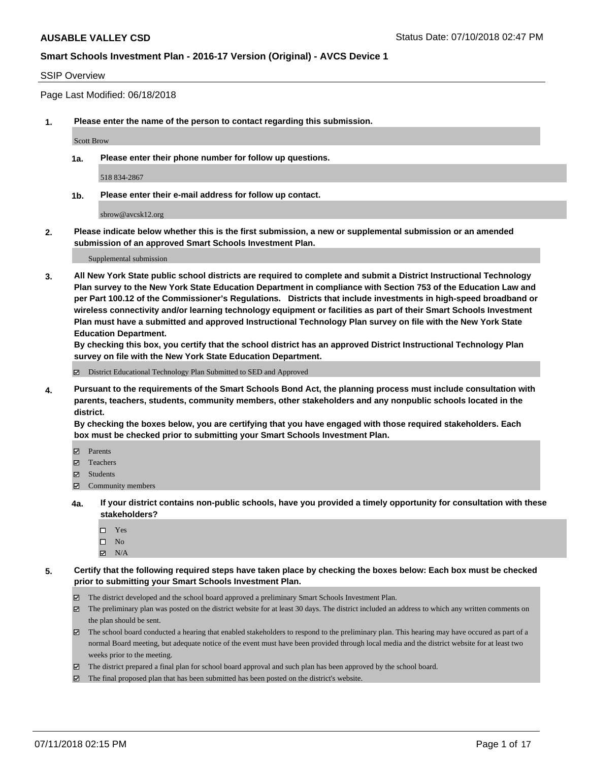#### SSIP Overview

Page Last Modified: 06/18/2018

**1. Please enter the name of the person to contact regarding this submission.**

Scott Brow

**1a. Please enter their phone number for follow up questions.**

518 834-2867

**1b. Please enter their e-mail address for follow up contact.**

sbrow@avcsk12.org

**2. Please indicate below whether this is the first submission, a new or supplemental submission or an amended submission of an approved Smart Schools Investment Plan.**

Supplemental submission

**3. All New York State public school districts are required to complete and submit a District Instructional Technology Plan survey to the New York State Education Department in compliance with Section 753 of the Education Law and per Part 100.12 of the Commissioner's Regulations. Districts that include investments in high-speed broadband or wireless connectivity and/or learning technology equipment or facilities as part of their Smart Schools Investment Plan must have a submitted and approved Instructional Technology Plan survey on file with the New York State Education Department.** 

**By checking this box, you certify that the school district has an approved District Instructional Technology Plan survey on file with the New York State Education Department.**

District Educational Technology Plan Submitted to SED and Approved

**4. Pursuant to the requirements of the Smart Schools Bond Act, the planning process must include consultation with parents, teachers, students, community members, other stakeholders and any nonpublic schools located in the district.** 

**By checking the boxes below, you are certifying that you have engaged with those required stakeholders. Each box must be checked prior to submitting your Smart Schools Investment Plan.**

- Parents
- Teachers
- Students
- $\Xi$  Community members
- **4a. If your district contains non-public schools, have you provided a timely opportunity for consultation with these stakeholders?**
	- Yes
	- $\square$  No
	- $N/A$
- **5. Certify that the following required steps have taken place by checking the boxes below: Each box must be checked prior to submitting your Smart Schools Investment Plan.**
	- The district developed and the school board approved a preliminary Smart Schools Investment Plan.
	- $\boxtimes$  The preliminary plan was posted on the district website for at least 30 days. The district included an address to which any written comments on the plan should be sent.
	- $\boxtimes$  The school board conducted a hearing that enabled stakeholders to respond to the preliminary plan. This hearing may have occured as part of a normal Board meeting, but adequate notice of the event must have been provided through local media and the district website for at least two weeks prior to the meeting.
	- The district prepared a final plan for school board approval and such plan has been approved by the school board.
	- $\boxtimes$  The final proposed plan that has been submitted has been posted on the district's website.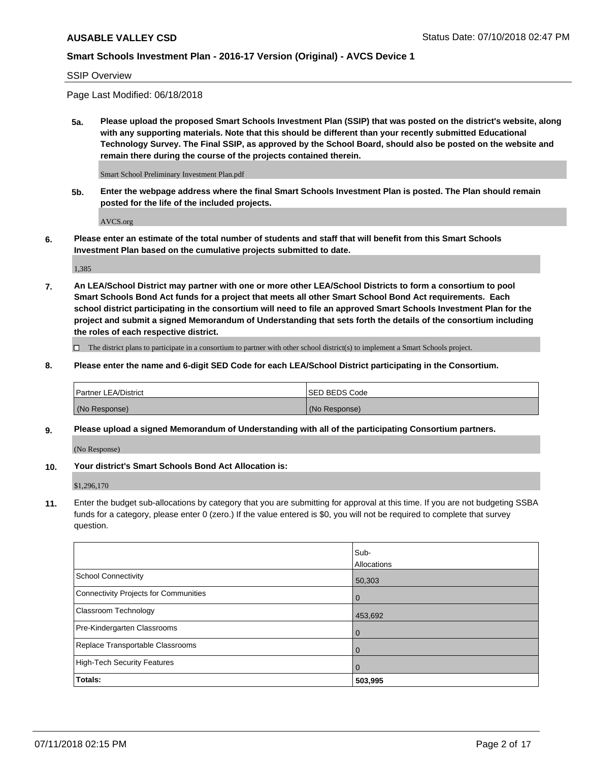## SSIP Overview

Page Last Modified: 06/18/2018

**5a. Please upload the proposed Smart Schools Investment Plan (SSIP) that was posted on the district's website, along with any supporting materials. Note that this should be different than your recently submitted Educational Technology Survey. The Final SSIP, as approved by the School Board, should also be posted on the website and remain there during the course of the projects contained therein.**

Smart School Preliminary Investment Plan.pdf

**5b. Enter the webpage address where the final Smart Schools Investment Plan is posted. The Plan should remain posted for the life of the included projects.**

AVCS.org

**6. Please enter an estimate of the total number of students and staff that will benefit from this Smart Schools Investment Plan based on the cumulative projects submitted to date.**

1,385

**7. An LEA/School District may partner with one or more other LEA/School Districts to form a consortium to pool Smart Schools Bond Act funds for a project that meets all other Smart School Bond Act requirements. Each school district participating in the consortium will need to file an approved Smart Schools Investment Plan for the project and submit a signed Memorandum of Understanding that sets forth the details of the consortium including the roles of each respective district.**

 $\Box$  The district plans to participate in a consortium to partner with other school district(s) to implement a Smart Schools project.

**8. Please enter the name and 6-digit SED Code for each LEA/School District participating in the Consortium.**

| <b>Partner LEA/District</b> | <b>ISED BEDS Code</b> |
|-----------------------------|-----------------------|
| (No Response)               | (No Response)         |

#### **9. Please upload a signed Memorandum of Understanding with all of the participating Consortium partners.**

(No Response)

**10. Your district's Smart Schools Bond Act Allocation is:**

\$1,296,170

**11.** Enter the budget sub-allocations by category that you are submitting for approval at this time. If you are not budgeting SSBA funds for a category, please enter 0 (zero.) If the value entered is \$0, you will not be required to complete that survey question.

|                                              | Sub-<br>Allocations |
|----------------------------------------------|---------------------|
| <b>School Connectivity</b>                   | 50,303              |
| <b>Connectivity Projects for Communities</b> | $\overline{0}$      |
| Classroom Technology                         | 453,692             |
| Pre-Kindergarten Classrooms                  | $\Omega$            |
| Replace Transportable Classrooms             | 0                   |
| <b>High-Tech Security Features</b>           | $\overline{0}$      |
| Totals:                                      | 503,995             |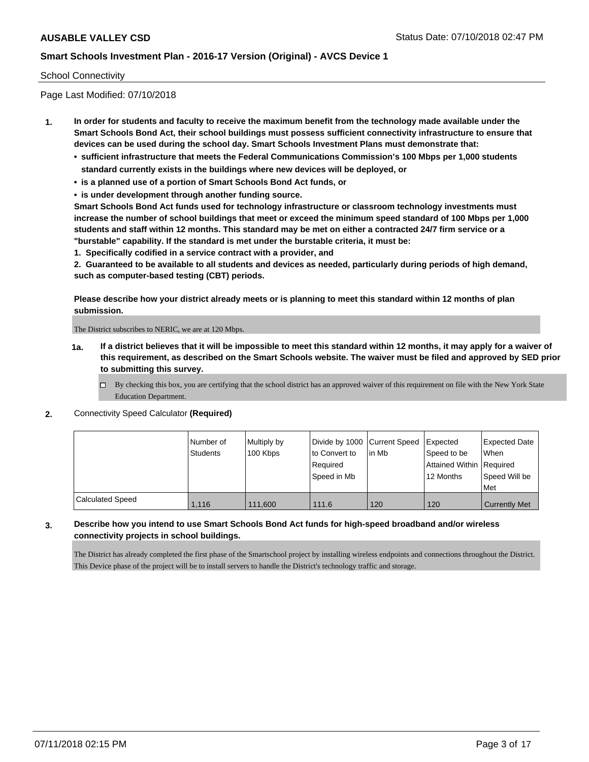#### School Connectivity

Page Last Modified: 07/10/2018

- **1. In order for students and faculty to receive the maximum benefit from the technology made available under the Smart Schools Bond Act, their school buildings must possess sufficient connectivity infrastructure to ensure that devices can be used during the school day. Smart Schools Investment Plans must demonstrate that:**
	- **• sufficient infrastructure that meets the Federal Communications Commission's 100 Mbps per 1,000 students standard currently exists in the buildings where new devices will be deployed, or**
	- **• is a planned use of a portion of Smart Schools Bond Act funds, or**
	- **• is under development through another funding source.**

**Smart Schools Bond Act funds used for technology infrastructure or classroom technology investments must increase the number of school buildings that meet or exceed the minimum speed standard of 100 Mbps per 1,000 students and staff within 12 months. This standard may be met on either a contracted 24/7 firm service or a "burstable" capability. If the standard is met under the burstable criteria, it must be:**

**1. Specifically codified in a service contract with a provider, and**

**2. Guaranteed to be available to all students and devices as needed, particularly during periods of high demand, such as computer-based testing (CBT) periods.**

**Please describe how your district already meets or is planning to meet this standard within 12 months of plan submission.**

The District subscribes to NERIC, we are at 120 Mbps.

- **1a. If a district believes that it will be impossible to meet this standard within 12 months, it may apply for a waiver of this requirement, as described on the Smart Schools website. The waiver must be filed and approved by SED prior to submitting this survey.**
	- By checking this box, you are certifying that the school district has an approved waiver of this requirement on file with the New York State Education Department.

#### **2.** Connectivity Speed Calculator **(Required)**

|                  | Number of<br><b>Students</b> | Multiply by<br>100 Kbps | Divide by 1000 Current Speed<br>to Convert to<br>Required<br>Speed in Mb | lin Mb | Expected<br>Speed to be<br>Attained Within   Required<br>12 Months | <b>Expected Date</b><br>When<br>Speed Will be<br>Met |
|------------------|------------------------------|-------------------------|--------------------------------------------------------------------------|--------|--------------------------------------------------------------------|------------------------------------------------------|
| Calculated Speed | 1.116                        | 111.600                 | 111.6                                                                    | 120    | 120                                                                | <b>Currently Met</b>                                 |

#### **3. Describe how you intend to use Smart Schools Bond Act funds for high-speed broadband and/or wireless connectivity projects in school buildings.**

The District has already completed the first phase of the Smartschool project by installing wireless endpoints and connections throughout the District. This Device phase of the project will be to install servers to handle the District's technology traffic and storage.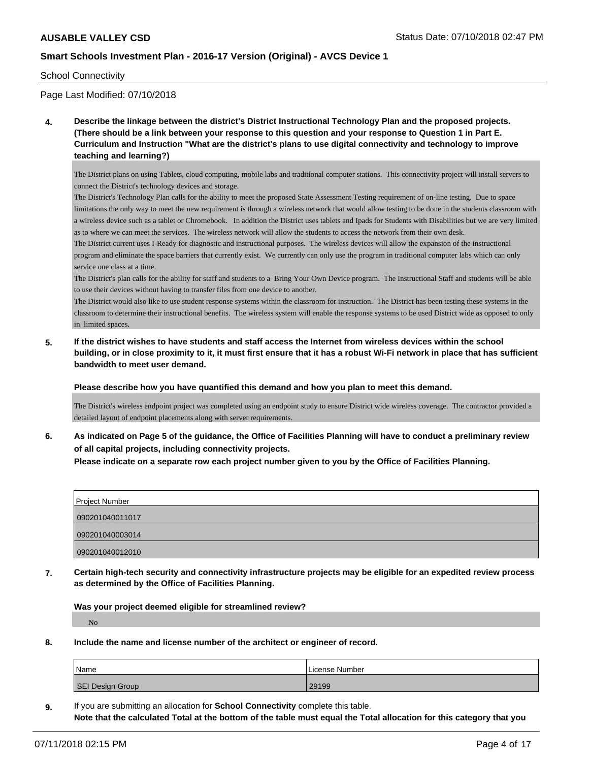#### School Connectivity

Page Last Modified: 07/10/2018

**4. Describe the linkage between the district's District Instructional Technology Plan and the proposed projects. (There should be a link between your response to this question and your response to Question 1 in Part E. Curriculum and Instruction "What are the district's plans to use digital connectivity and technology to improve teaching and learning?)**

The District plans on using Tablets, cloud computing, mobile labs and traditional computer stations. This connectivity project will install servers to connect the District's technology devices and storage.

The District's Technology Plan calls for the ability to meet the proposed State Assessment Testing requirement of on-line testing. Due to space limitations the only way to meet the new requirement is through a wireless network that would allow testing to be done in the students classroom with a wireless device such as a tablet or Chromebook. In addition the District uses tablets and Ipads for Students with Disabilities but we are very limited as to where we can meet the services. The wireless network will allow the students to access the network from their own desk.

The District current uses I-Ready for diagnostic and instructional purposes. The wireless devices will allow the expansion of the instructional program and eliminate the space barriers that currently exist. We currently can only use the program in traditional computer labs which can only service one class at a time.

The District's plan calls for the ability for staff and students to a Bring Your Own Device program. The Instructional Staff and students will be able to use their devices without having to transfer files from one device to another.

The District would also like to use student response systems within the classroom for instruction. The District has been testing these systems in the classroom to determine their instructional benefits. The wireless system will enable the response systems to be used District wide as opposed to only in limited spaces.

**5. If the district wishes to have students and staff access the Internet from wireless devices within the school building, or in close proximity to it, it must first ensure that it has a robust Wi-Fi network in place that has sufficient bandwidth to meet user demand.**

**Please describe how you have quantified this demand and how you plan to meet this demand.**

The District's wireless endpoint project was completed using an endpoint study to ensure District wide wireless coverage. The contractor provided a detailed layout of endpoint placements along with server requirements.

**6. As indicated on Page 5 of the guidance, the Office of Facilities Planning will have to conduct a preliminary review of all capital projects, including connectivity projects.**

**Please indicate on a separate row each project number given to you by the Office of Facilities Planning.**

| <b>Project Number</b> |
|-----------------------|
| 090201040011017       |
| 090201040003014       |
| 090201040012010       |

**7. Certain high-tech security and connectivity infrastructure projects may be eligible for an expedited review process as determined by the Office of Facilities Planning.**

**Was your project deemed eligible for streamlined review?** No

**8. Include the name and license number of the architect or engineer of record.**

| Name             | License Number |
|------------------|----------------|
| SEI Design Group | 29199          |

**9.** If you are submitting an allocation for **School Connectivity** complete this table. **Note that the calculated Total at the bottom of the table must equal the Total allocation for this category that you**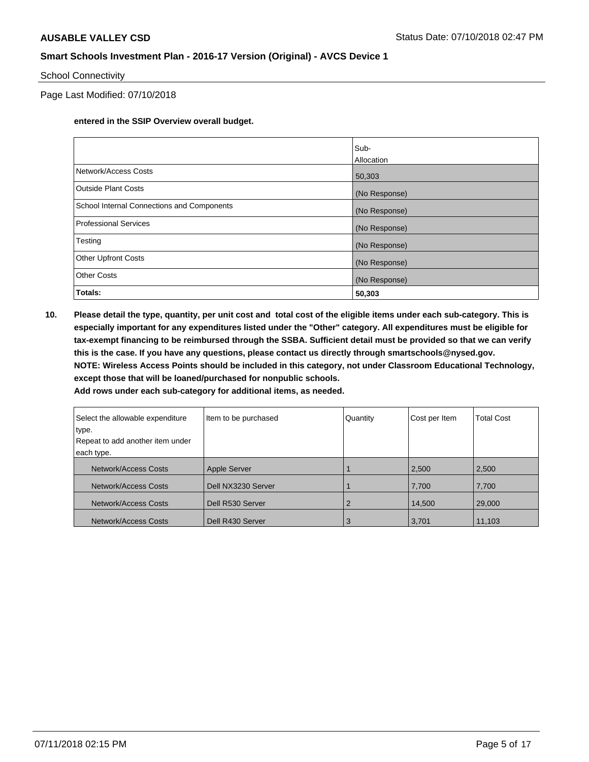#### School Connectivity

Page Last Modified: 07/10/2018

#### **entered in the SSIP Overview overall budget.**

|                                            | Sub-          |
|--------------------------------------------|---------------|
|                                            | Allocation    |
| Network/Access Costs                       | 50,303        |
| Outside Plant Costs                        | (No Response) |
| School Internal Connections and Components | (No Response) |
| Professional Services                      | (No Response) |
| Testing                                    | (No Response) |
| <b>Other Upfront Costs</b>                 | (No Response) |
| <b>Other Costs</b>                         | (No Response) |
| Totals:                                    | 50,303        |

**10. Please detail the type, quantity, per unit cost and total cost of the eligible items under each sub-category. This is especially important for any expenditures listed under the "Other" category. All expenditures must be eligible for tax-exempt financing to be reimbursed through the SSBA. Sufficient detail must be provided so that we can verify this is the case. If you have any questions, please contact us directly through smartschools@nysed.gov. NOTE: Wireless Access Points should be included in this category, not under Classroom Educational Technology, except those that will be loaned/purchased for nonpublic schools.**

| Select the allowable expenditure<br>type.<br>Repeat to add another item under | Item to be purchased | Quantity | Cost per Item | <b>Total Cost</b> |
|-------------------------------------------------------------------------------|----------------------|----------|---------------|-------------------|
| each type.                                                                    |                      |          |               |                   |
| Network/Access Costs                                                          | <b>Apple Server</b>  |          | 2,500         | 2,500             |
| Network/Access Costs                                                          | Dell NX3230 Server   |          | 7,700         | 7,700             |
| Network/Access Costs                                                          | Dell R530 Server     |          | 14,500        | 29,000            |
| Network/Access Costs                                                          | Dell R430 Server     | 3        | 3,701         | 11,103            |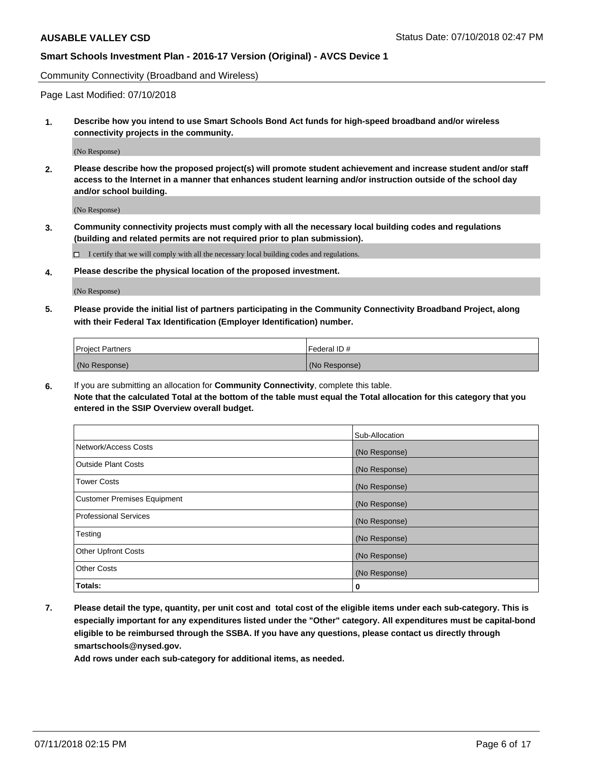Community Connectivity (Broadband and Wireless)

Page Last Modified: 07/10/2018

**1. Describe how you intend to use Smart Schools Bond Act funds for high-speed broadband and/or wireless connectivity projects in the community.**

(No Response)

**2. Please describe how the proposed project(s) will promote student achievement and increase student and/or staff access to the Internet in a manner that enhances student learning and/or instruction outside of the school day and/or school building.**

(No Response)

**3. Community connectivity projects must comply with all the necessary local building codes and regulations (building and related permits are not required prior to plan submission).**

 $\Box$  I certify that we will comply with all the necessary local building codes and regulations.

**4. Please describe the physical location of the proposed investment.**

(No Response)

**5. Please provide the initial list of partners participating in the Community Connectivity Broadband Project, along with their Federal Tax Identification (Employer Identification) number.**

| <b>Project Partners</b> | Federal ID#   |
|-------------------------|---------------|
| (No Response)           | (No Response) |

**6.** If you are submitting an allocation for **Community Connectivity**, complete this table. **Note that the calculated Total at the bottom of the table must equal the Total allocation for this category that you entered in the SSIP Overview overall budget.**

|                                    | Sub-Allocation |
|------------------------------------|----------------|
| Network/Access Costs               | (No Response)  |
| Outside Plant Costs                | (No Response)  |
| <b>Tower Costs</b>                 | (No Response)  |
| <b>Customer Premises Equipment</b> | (No Response)  |
| Professional Services              | (No Response)  |
| Testing                            | (No Response)  |
| <b>Other Upfront Costs</b>         | (No Response)  |
| <b>Other Costs</b>                 | (No Response)  |
| Totals:                            | 0              |

**7. Please detail the type, quantity, per unit cost and total cost of the eligible items under each sub-category. This is especially important for any expenditures listed under the "Other" category. All expenditures must be capital-bond eligible to be reimbursed through the SSBA. If you have any questions, please contact us directly through smartschools@nysed.gov.**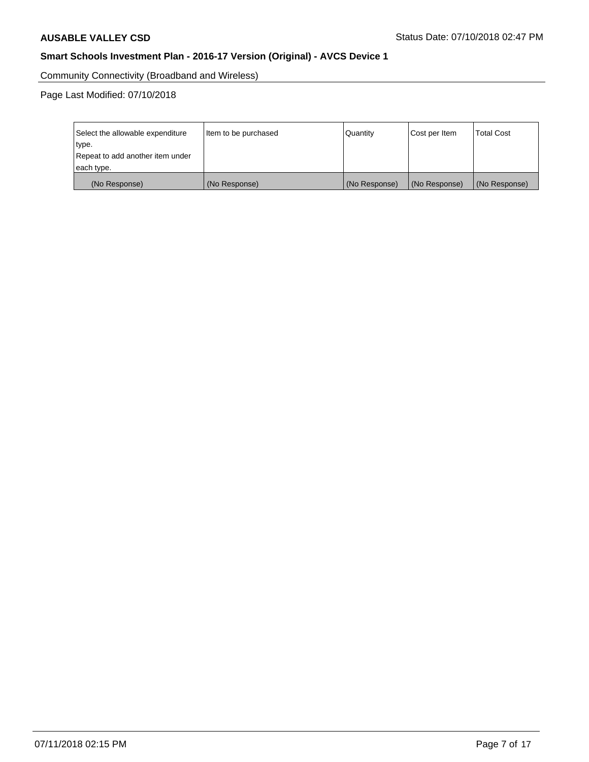Community Connectivity (Broadband and Wireless)

Page Last Modified: 07/10/2018

| Select the allowable expenditure<br>type.<br>Repeat to add another item under<br>each type. | Item to be purchased | Quantity      | Cost per Item | <b>Total Cost</b> |
|---------------------------------------------------------------------------------------------|----------------------|---------------|---------------|-------------------|
| (No Response)                                                                               | (No Response)        | (No Response) | (No Response) | (No Response)     |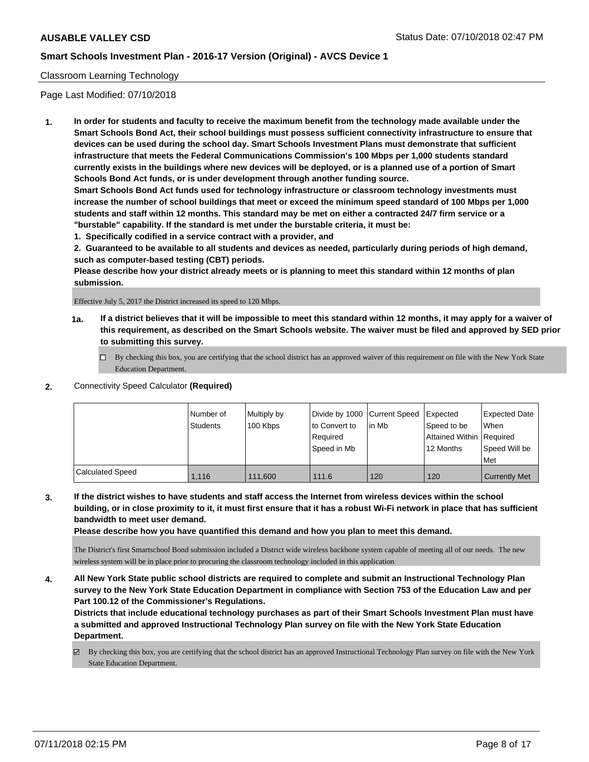### Classroom Learning Technology

Page Last Modified: 07/10/2018

**1. In order for students and faculty to receive the maximum benefit from the technology made available under the Smart Schools Bond Act, their school buildings must possess sufficient connectivity infrastructure to ensure that devices can be used during the school day. Smart Schools Investment Plans must demonstrate that sufficient infrastructure that meets the Federal Communications Commission's 100 Mbps per 1,000 students standard currently exists in the buildings where new devices will be deployed, or is a planned use of a portion of Smart Schools Bond Act funds, or is under development through another funding source.**

**Smart Schools Bond Act funds used for technology infrastructure or classroom technology investments must increase the number of school buildings that meet or exceed the minimum speed standard of 100 Mbps per 1,000 students and staff within 12 months. This standard may be met on either a contracted 24/7 firm service or a "burstable" capability. If the standard is met under the burstable criteria, it must be:**

**1. Specifically codified in a service contract with a provider, and**

**2. Guaranteed to be available to all students and devices as needed, particularly during periods of high demand, such as computer-based testing (CBT) periods.**

**Please describe how your district already meets or is planning to meet this standard within 12 months of plan submission.**

Effective July 5, 2017 the District increased its speed to 120 Mbps.

- **1a. If a district believes that it will be impossible to meet this standard within 12 months, it may apply for a waiver of this requirement, as described on the Smart Schools website. The waiver must be filed and approved by SED prior to submitting this survey.**
	- By checking this box, you are certifying that the school district has an approved waiver of this requirement on file with the New York State Education Department.
- **2.** Connectivity Speed Calculator **(Required)**

|                  | I Number of<br><b>Students</b> | Multiply by<br>100 Kbps | Divide by 1000 Current Speed<br>to Convert to<br>Required<br>Speed in Mb | lin Mb | Expected<br>Speed to be<br>Attained Within Required<br>12 Months | Expected Date<br>When<br>Speed Will be<br>Met |
|------------------|--------------------------------|-------------------------|--------------------------------------------------------------------------|--------|------------------------------------------------------------------|-----------------------------------------------|
| Calculated Speed | 1.116                          | 111.600                 | 111.6                                                                    | 120    | 120                                                              | <b>Currently Met</b>                          |

**3. If the district wishes to have students and staff access the Internet from wireless devices within the school building, or in close proximity to it, it must first ensure that it has a robust Wi-Fi network in place that has sufficient bandwidth to meet user demand.**

**Please describe how you have quantified this demand and how you plan to meet this demand.**

The District's first Smartschool Bond submission included a District wide wireless backbone system capable of meeting all of our needs. The new wireless system will be in place prior to procuring the classroom technology included in this application

**4. All New York State public school districts are required to complete and submit an Instructional Technology Plan survey to the New York State Education Department in compliance with Section 753 of the Education Law and per Part 100.12 of the Commissioner's Regulations.**

**Districts that include educational technology purchases as part of their Smart Schools Investment Plan must have a submitted and approved Instructional Technology Plan survey on file with the New York State Education Department.**

By checking this box, you are certifying that the school district has an approved Instructional Technology Plan survey on file with the New York State Education Department.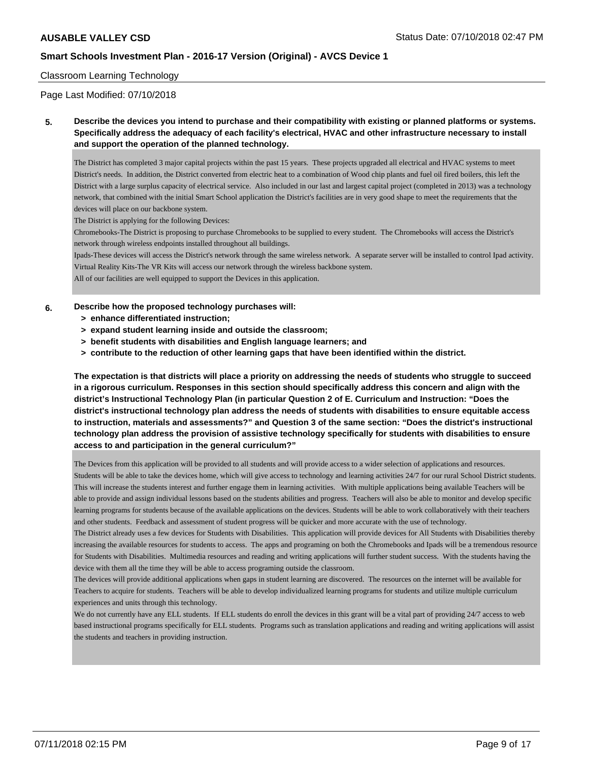#### Classroom Learning Technology

Page Last Modified: 07/10/2018

**5. Describe the devices you intend to purchase and their compatibility with existing or planned platforms or systems. Specifically address the adequacy of each facility's electrical, HVAC and other infrastructure necessary to install and support the operation of the planned technology.**

The District has completed 3 major capital projects within the past 15 years. These projects upgraded all electrical and HVAC systems to meet District's needs. In addition, the District converted from electric heat to a combination of Wood chip plants and fuel oil fired boilers, this left the District with a large surplus capacity of electrical service. Also included in our last and largest capital project (completed in 2013) was a technology network, that combined with the initial Smart School application the District's facilities are in very good shape to meet the requirements that the devices will place on our backbone system.

The District is applying for the following Devices:

Chromebooks-The District is proposing to purchase Chromebooks to be supplied to every student. The Chromebooks will access the District's network through wireless endpoints installed throughout all buildings.

Ipads-These devices will access the District's network through the same wireless network. A separate server will be installed to control Ipad activity. Virtual Reality Kits-The VR Kits will access our network through the wireless backbone system.

All of our facilities are well equipped to support the Devices in this application.

#### **6. Describe how the proposed technology purchases will:**

- **> enhance differentiated instruction;**
- **> expand student learning inside and outside the classroom;**
- **> benefit students with disabilities and English language learners; and**
- **> contribute to the reduction of other learning gaps that have been identified within the district.**

**The expectation is that districts will place a priority on addressing the needs of students who struggle to succeed in a rigorous curriculum. Responses in this section should specifically address this concern and align with the district's Instructional Technology Plan (in particular Question 2 of E. Curriculum and Instruction: "Does the district's instructional technology plan address the needs of students with disabilities to ensure equitable access to instruction, materials and assessments?" and Question 3 of the same section: "Does the district's instructional technology plan address the provision of assistive technology specifically for students with disabilities to ensure access to and participation in the general curriculum?"**

The Devices from this application will be provided to all students and will provide access to a wider selection of applications and resources. Students will be able to take the devices home, which will give access to technology and learning activities 24/7 for our rural School District students. This will increase the students interest and further engage them in learning activities. With multiple applications being available Teachers will be able to provide and assign individual lessons based on the students abilities and progress. Teachers will also be able to monitor and develop specific learning programs for students because of the available applications on the devices. Students will be able to work collaboratively with their teachers and other students. Feedback and assessment of student progress will be quicker and more accurate with the use of technology.

The District already uses a few devices for Students with Disabilities. This application will provide devices for All Students with Disabilities thereby increasing the available resources for students to access. The apps and programing on both the Chromebooks and Ipads will be a tremendous resource for Students with Disabilities. Multimedia resources and reading and writing applications will further student success. With the students having the device with them all the time they will be able to access programing outside the classroom.

The devices will provide additional applications when gaps in student learning are discovered. The resources on the internet will be available for Teachers to acquire for students. Teachers will be able to develop individualized learning programs for students and utilize multiple curriculum experiences and units through this technology.

We do not currently have any ELL students. If ELL students do enroll the devices in this grant will be a vital part of providing 24/7 access to web based instructional programs specifically for ELL students. Programs such as translation applications and reading and writing applications will assist the students and teachers in providing instruction.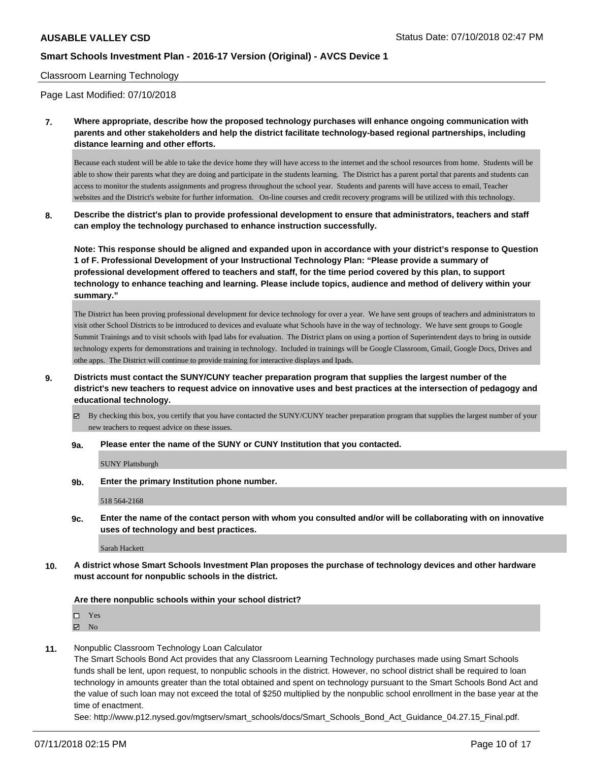#### Classroom Learning Technology

Page Last Modified: 07/10/2018

**7. Where appropriate, describe how the proposed technology purchases will enhance ongoing communication with parents and other stakeholders and help the district facilitate technology-based regional partnerships, including distance learning and other efforts.**

Because each student will be able to take the device home they will have access to the internet and the school resources from home. Students will be able to show their parents what they are doing and participate in the students learning. The District has a parent portal that parents and students can access to monitor the students assignments and progress throughout the school year. Students and parents will have access to email, Teacher websites and the District's website for further information. On-line courses and credit recovery programs will be utilized with this technology.

**8. Describe the district's plan to provide professional development to ensure that administrators, teachers and staff can employ the technology purchased to enhance instruction successfully.**

**Note: This response should be aligned and expanded upon in accordance with your district's response to Question 1 of F. Professional Development of your Instructional Technology Plan: "Please provide a summary of professional development offered to teachers and staff, for the time period covered by this plan, to support technology to enhance teaching and learning. Please include topics, audience and method of delivery within your summary."**

The District has been proving professional development for device technology for over a year. We have sent groups of teachers and administrators to visit other School Districts to be introduced to devices and evaluate what Schools have in the way of technology. We have sent groups to Google Summit Trainings and to visit schools with Ipad labs for evaluation. The District plans on using a portion of Superintendent days to bring in outside technology experts for demonstrations and training in technology. Included in trainings will be Google Classroom, Gmail, Google Docs, Drives and othe apps. The District will continue to provide training for interactive displays and Ipads.

- **9. Districts must contact the SUNY/CUNY teacher preparation program that supplies the largest number of the district's new teachers to request advice on innovative uses and best practices at the intersection of pedagogy and educational technology.**
	- $\boxtimes$  By checking this box, you certify that you have contacted the SUNY/CUNY teacher preparation program that supplies the largest number of your new teachers to request advice on these issues.

#### **9a. Please enter the name of the SUNY or CUNY Institution that you contacted.**

SUNY Plattsburgh

**9b. Enter the primary Institution phone number.**

518 564-2168

**9c. Enter the name of the contact person with whom you consulted and/or will be collaborating with on innovative uses of technology and best practices.**

Sarah Hackett

**10. A district whose Smart Schools Investment Plan proposes the purchase of technology devices and other hardware must account for nonpublic schools in the district.**

**Are there nonpublic schools within your school district?**

□ Yes

 $\blacksquare$  No

**11.** Nonpublic Classroom Technology Loan Calculator

The Smart Schools Bond Act provides that any Classroom Learning Technology purchases made using Smart Schools funds shall be lent, upon request, to nonpublic schools in the district. However, no school district shall be required to loan technology in amounts greater than the total obtained and spent on technology pursuant to the Smart Schools Bond Act and the value of such loan may not exceed the total of \$250 multiplied by the nonpublic school enrollment in the base year at the time of enactment.

See: http://www.p12.nysed.gov/mgtserv/smart\_schools/docs/Smart\_Schools\_Bond\_Act\_Guidance\_04.27.15\_Final.pdf.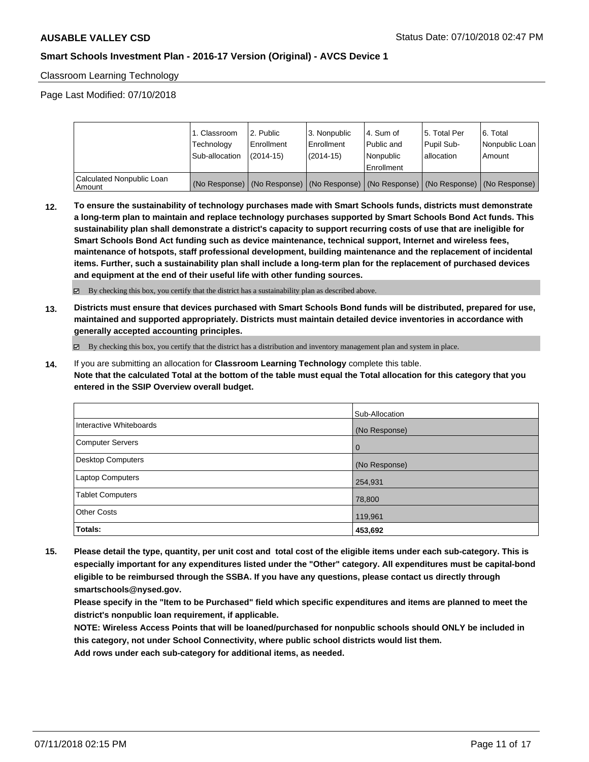Classroom Learning Technology

Page Last Modified: 07/10/2018

|                                       | 1. Classroom<br>Technology<br>Sub-allocation | 2. Public<br>l Enrollment<br>$(2014 - 15)$ | l 3. Nonpublic<br>l Enrollment<br>$(2014 - 15)$ | l 4. Sum of<br>Public and<br>l Nonpublic<br>Enrollment | 15. Total Per<br>Pupil Sub-<br>allocation | l 6. Total<br>Nonpublic Loan<br>l Amount                                                      |
|---------------------------------------|----------------------------------------------|--------------------------------------------|-------------------------------------------------|--------------------------------------------------------|-------------------------------------------|-----------------------------------------------------------------------------------------------|
| Calculated Nonpublic Loan<br>l Amount |                                              |                                            |                                                 |                                                        |                                           | (No Response)   (No Response)   (No Response)   (No Response)   (No Response)   (No Response) |

**12. To ensure the sustainability of technology purchases made with Smart Schools funds, districts must demonstrate a long-term plan to maintain and replace technology purchases supported by Smart Schools Bond Act funds. This sustainability plan shall demonstrate a district's capacity to support recurring costs of use that are ineligible for Smart Schools Bond Act funding such as device maintenance, technical support, Internet and wireless fees, maintenance of hotspots, staff professional development, building maintenance and the replacement of incidental items. Further, such a sustainability plan shall include a long-term plan for the replacement of purchased devices and equipment at the end of their useful life with other funding sources.**

By checking this box, you certify that the district has a sustainability plan as described above.

**13. Districts must ensure that devices purchased with Smart Schools Bond funds will be distributed, prepared for use, maintained and supported appropriately. Districts must maintain detailed device inventories in accordance with generally accepted accounting principles.**

By checking this box, you certify that the district has a distribution and inventory management plan and system in place.

**14.** If you are submitting an allocation for **Classroom Learning Technology** complete this table. **Note that the calculated Total at the bottom of the table must equal the Total allocation for this category that you entered in the SSIP Overview overall budget.**

|                         | Sub-Allocation |
|-------------------------|----------------|
| Interactive Whiteboards | (No Response)  |
| Computer Servers        | $\overline{0}$ |
| Desktop Computers       | (No Response)  |
| Laptop Computers        | 254,931        |
| <b>Tablet Computers</b> | 78,800         |
| <b>Other Costs</b>      | 119,961        |
| Totals:                 | 453,692        |

**15. Please detail the type, quantity, per unit cost and total cost of the eligible items under each sub-category. This is especially important for any expenditures listed under the "Other" category. All expenditures must be capital-bond eligible to be reimbursed through the SSBA. If you have any questions, please contact us directly through smartschools@nysed.gov.**

**Please specify in the "Item to be Purchased" field which specific expenditures and items are planned to meet the district's nonpublic loan requirement, if applicable.**

**NOTE: Wireless Access Points that will be loaned/purchased for nonpublic schools should ONLY be included in this category, not under School Connectivity, where public school districts would list them.**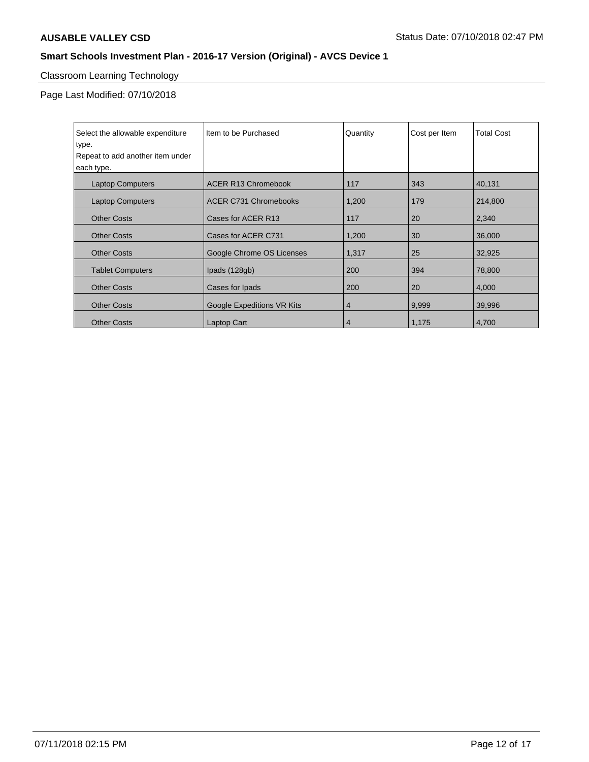# Classroom Learning Technology

Page Last Modified: 07/10/2018

| Select the allowable expenditure | Item to be Purchased         | Quantity       | Cost per Item | <b>Total Cost</b> |
|----------------------------------|------------------------------|----------------|---------------|-------------------|
| type.                            |                              |                |               |                   |
| Repeat to add another item under |                              |                |               |                   |
| each type.                       |                              |                |               |                   |
| <b>Laptop Computers</b>          | <b>ACER R13 Chromebook</b>   | 117            | 343           | 40,131            |
| <b>Laptop Computers</b>          | <b>ACER C731 Chromebooks</b> | 1,200          | 179           | 214,800           |
| <b>Other Costs</b>               | Cases for ACER R13           | 117            | 20            | 2,340             |
| <b>Other Costs</b>               | Cases for ACER C731          | 1,200          | 30            | 36,000            |
| <b>Other Costs</b>               | Google Chrome OS Licenses    | 1,317          | 25            | 32,925            |
| <b>Tablet Computers</b>          | Ipads (128gb)                | 200            | 394           | 78,800            |
| <b>Other Costs</b>               | Cases for Ipads              | 200            | 20            | 4,000             |
| <b>Other Costs</b>               | Google Expeditions VR Kits   | 4              | 9,999         | 39,996            |
| <b>Other Costs</b>               | Laptop Cart                  | $\overline{4}$ | 1,175         | 4,700             |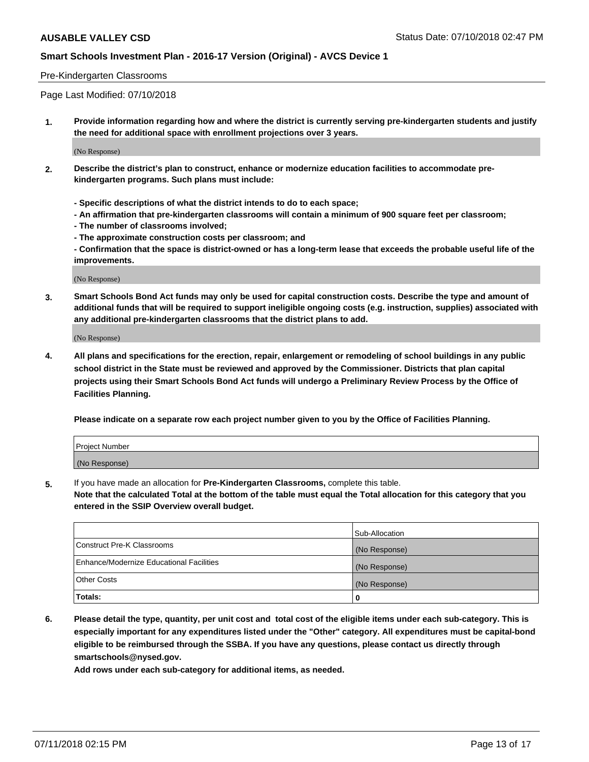#### Pre-Kindergarten Classrooms

Page Last Modified: 07/10/2018

**1. Provide information regarding how and where the district is currently serving pre-kindergarten students and justify the need for additional space with enrollment projections over 3 years.**

(No Response)

- **2. Describe the district's plan to construct, enhance or modernize education facilities to accommodate prekindergarten programs. Such plans must include:**
	- **Specific descriptions of what the district intends to do to each space;**
	- **An affirmation that pre-kindergarten classrooms will contain a minimum of 900 square feet per classroom;**
	- **The number of classrooms involved;**
	- **The approximate construction costs per classroom; and**
	- **Confirmation that the space is district-owned or has a long-term lease that exceeds the probable useful life of the improvements.**

(No Response)

**3. Smart Schools Bond Act funds may only be used for capital construction costs. Describe the type and amount of additional funds that will be required to support ineligible ongoing costs (e.g. instruction, supplies) associated with any additional pre-kindergarten classrooms that the district plans to add.**

(No Response)

**4. All plans and specifications for the erection, repair, enlargement or remodeling of school buildings in any public school district in the State must be reviewed and approved by the Commissioner. Districts that plan capital projects using their Smart Schools Bond Act funds will undergo a Preliminary Review Process by the Office of Facilities Planning.**

**Please indicate on a separate row each project number given to you by the Office of Facilities Planning.**

| <b>Project Number</b> |  |
|-----------------------|--|
| (No Response)         |  |

**5.** If you have made an allocation for **Pre-Kindergarten Classrooms,** complete this table.

**Note that the calculated Total at the bottom of the table must equal the Total allocation for this category that you entered in the SSIP Overview overall budget.**

|                                          | Sub-Allocation |
|------------------------------------------|----------------|
| Construct Pre-K Classrooms               | (No Response)  |
| Enhance/Modernize Educational Facilities | (No Response)  |
| Other Costs                              | (No Response)  |
| Totals:                                  | 0              |

**6. Please detail the type, quantity, per unit cost and total cost of the eligible items under each sub-category. This is especially important for any expenditures listed under the "Other" category. All expenditures must be capital-bond eligible to be reimbursed through the SSBA. If you have any questions, please contact us directly through smartschools@nysed.gov.**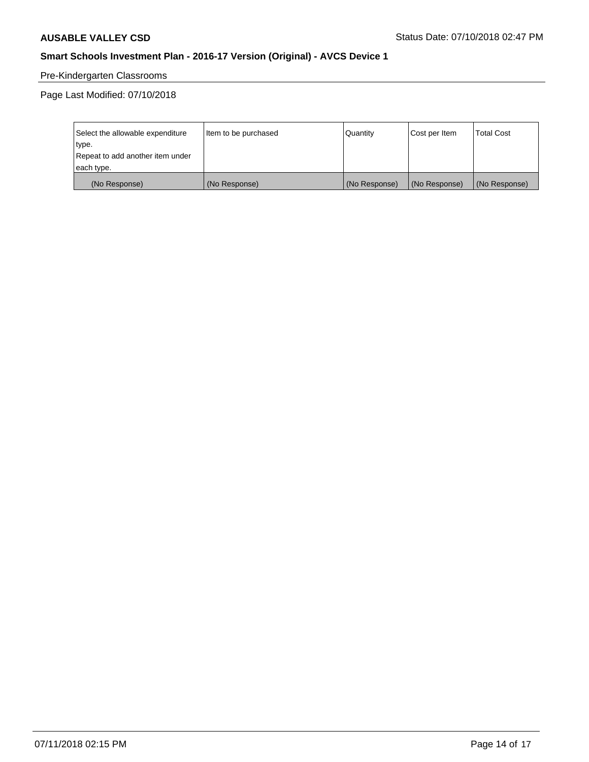# Pre-Kindergarten Classrooms

Page Last Modified: 07/10/2018

| Select the allowable expenditure | Item to be purchased | Quantity      | Cost per Item | <b>Total Cost</b> |
|----------------------------------|----------------------|---------------|---------------|-------------------|
| type.                            |                      |               |               |                   |
| Repeat to add another item under |                      |               |               |                   |
| each type.                       |                      |               |               |                   |
| (No Response)                    | (No Response)        | (No Response) | (No Response) | (No Response)     |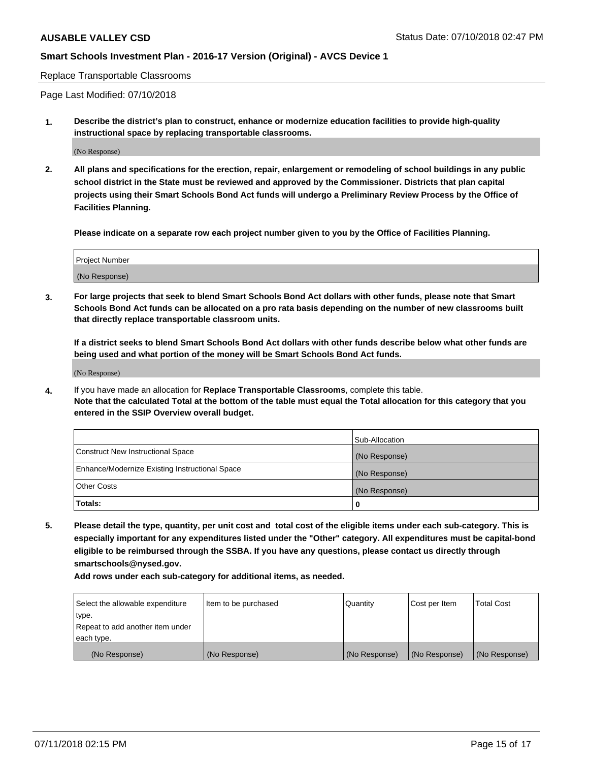Replace Transportable Classrooms

Page Last Modified: 07/10/2018

**1. Describe the district's plan to construct, enhance or modernize education facilities to provide high-quality instructional space by replacing transportable classrooms.**

(No Response)

**2. All plans and specifications for the erection, repair, enlargement or remodeling of school buildings in any public school district in the State must be reviewed and approved by the Commissioner. Districts that plan capital projects using their Smart Schools Bond Act funds will undergo a Preliminary Review Process by the Office of Facilities Planning.**

**Please indicate on a separate row each project number given to you by the Office of Facilities Planning.**

| <b>Project Number</b> |  |
|-----------------------|--|
| (No Response)         |  |
|                       |  |

**3. For large projects that seek to blend Smart Schools Bond Act dollars with other funds, please note that Smart Schools Bond Act funds can be allocated on a pro rata basis depending on the number of new classrooms built that directly replace transportable classroom units.**

**If a district seeks to blend Smart Schools Bond Act dollars with other funds describe below what other funds are being used and what portion of the money will be Smart Schools Bond Act funds.**

(No Response)

**4.** If you have made an allocation for **Replace Transportable Classrooms**, complete this table. **Note that the calculated Total at the bottom of the table must equal the Total allocation for this category that you entered in the SSIP Overview overall budget.**

|                                                | Sub-Allocation |
|------------------------------------------------|----------------|
| Construct New Instructional Space              | (No Response)  |
| Enhance/Modernize Existing Instructional Space | (No Response)  |
| Other Costs                                    | (No Response)  |
| Totals:                                        | 0              |

**5. Please detail the type, quantity, per unit cost and total cost of the eligible items under each sub-category. This is especially important for any expenditures listed under the "Other" category. All expenditures must be capital-bond eligible to be reimbursed through the SSBA. If you have any questions, please contact us directly through smartschools@nysed.gov.**

| Select the allowable expenditure | Item to be purchased | Quantity      | Cost per Item | <b>Total Cost</b> |
|----------------------------------|----------------------|---------------|---------------|-------------------|
| type.                            |                      |               |               |                   |
| Repeat to add another item under |                      |               |               |                   |
| each type.                       |                      |               |               |                   |
| (No Response)                    | (No Response)        | (No Response) | (No Response) | (No Response)     |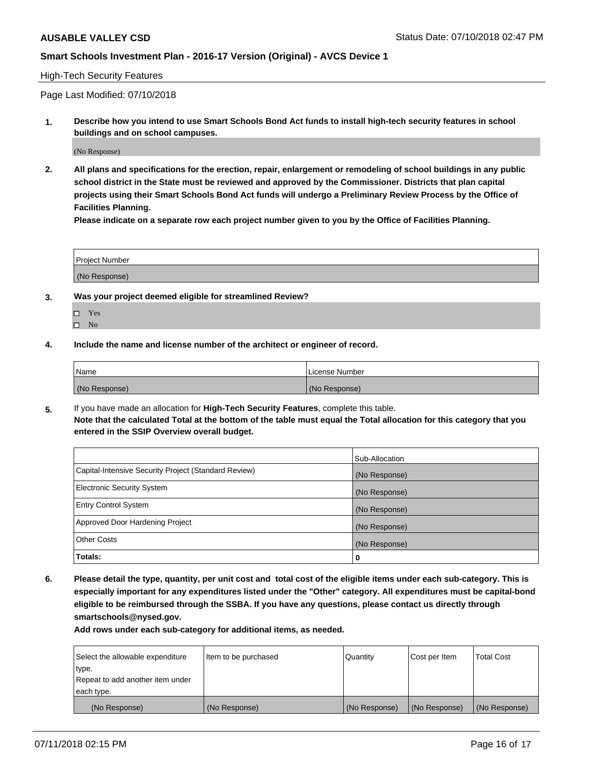#### High-Tech Security Features

Page Last Modified: 07/10/2018

**1. Describe how you intend to use Smart Schools Bond Act funds to install high-tech security features in school buildings and on school campuses.**

(No Response)

**2. All plans and specifications for the erection, repair, enlargement or remodeling of school buildings in any public school district in the State must be reviewed and approved by the Commissioner. Districts that plan capital projects using their Smart Schools Bond Act funds will undergo a Preliminary Review Process by the Office of Facilities Planning.** 

**Please indicate on a separate row each project number given to you by the Office of Facilities Planning.**

| <b>Project Number</b> |  |  |
|-----------------------|--|--|
|                       |  |  |
| (No Response)         |  |  |

- **3. Was your project deemed eligible for streamlined Review?**
	- Yes  $\square$  No
- **4. Include the name and license number of the architect or engineer of record.**

| Name          | License Number |
|---------------|----------------|
| (No Response) | (No Response)  |

**5.** If you have made an allocation for **High-Tech Security Features**, complete this table. **Note that the calculated Total at the bottom of the table must equal the Total allocation for this category that you entered in the SSIP Overview overall budget.**

|                                                      | Sub-Allocation |
|------------------------------------------------------|----------------|
| Capital-Intensive Security Project (Standard Review) | (No Response)  |
| <b>Electronic Security System</b>                    | (No Response)  |
| <b>Entry Control System</b>                          | (No Response)  |
| Approved Door Hardening Project                      | (No Response)  |
| <b>Other Costs</b>                                   | (No Response)  |
| Totals:                                              | 0              |

**6. Please detail the type, quantity, per unit cost and total cost of the eligible items under each sub-category. This is especially important for any expenditures listed under the "Other" category. All expenditures must be capital-bond eligible to be reimbursed through the SSBA. If you have any questions, please contact us directly through smartschools@nysed.gov.**

| Select the allowable expenditure | Item to be purchased | Quantity      | Cost per Item | <b>Total Cost</b> |
|----------------------------------|----------------------|---------------|---------------|-------------------|
| type.                            |                      |               |               |                   |
| Repeat to add another item under |                      |               |               |                   |
| each type.                       |                      |               |               |                   |
| (No Response)                    | (No Response)        | (No Response) | (No Response) | (No Response)     |